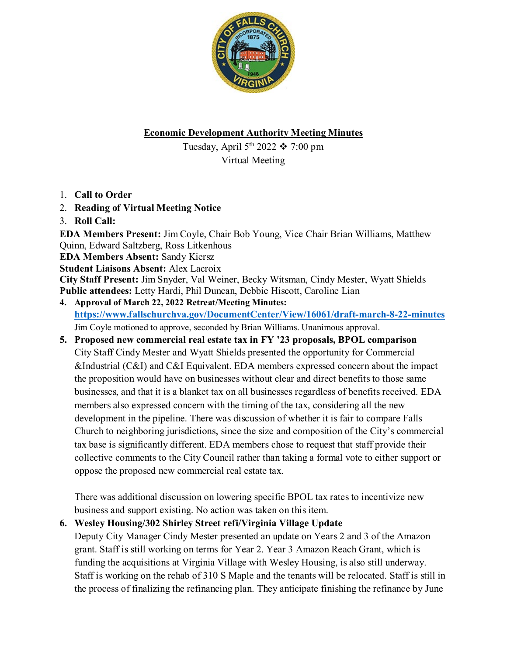

### **Economic Development Authority Meeting Minutes**

Tuesday, April 5<sup>th</sup> 2022  $\div$  7:00 pm Virtual Meeting

- 1. **Call to Order**
- 2. **Reading of Virtual Meeting Notice**
- 3. **Roll Call:**

**EDA Members Present:** Jim Coyle, Chair Bob Young, Vice Chair Brian Williams, Matthew Quinn, Edward Saltzberg, Ross Litkenhous

**EDA Members Absent:** Sandy Kiersz

**Student Liaisons Absent:** Alex Lacroix

**City Staff Present:** Jim Snyder, Val Weiner, Becky Witsman, Cindy Mester, Wyatt Shields **Public attendees:** Letty Hardi, Phil Duncan, Debbie Hiscott, Caroline Lian

- **4. Approval of March 22, 2022 Retreat/Meeting Minutes: <https://www.fallschurchva.gov/DocumentCenter/View/16061/draft-march-8-22-minutes>** Jim Coyle motioned to approve, seconded by Brian Williams. Unanimous approval.
- **5. Proposed new commercial real estate tax in FY '23 proposals, BPOL comparison**  City Staff Cindy Mester and Wyatt Shields presented the opportunity for Commercial &Industrial (C&I) and C&I Equivalent. EDA members expressed concern about the impact the proposition would have on businesses without clear and direct benefits to those same businesses, and that it is a blanket tax on all businesses regardless of benefits received. EDA members also expressed concern with the timing of the tax, considering all the new development in the pipeline. There was discussion of whether it is fair to compare Falls Church to neighboring jurisdictions, since the size and composition of the City's commercial tax base is significantly different. EDA members chose to request that staff provide their collective comments to the City Council rather than taking a formal vote to either support or oppose the proposed new commercial real estate tax.

There was additional discussion on lowering specific BPOL tax rates to incentivize new business and support existing. No action was taken on this item.

# **6. Wesley Housing/302 Shirley Street refi/Virginia Village Update**

Deputy City Manager Cindy Mester presented an update on Years 2 and 3 of the Amazon grant. Staff is still working on terms for Year 2. Year 3 Amazon Reach Grant, which is funding the acquisitions at Virginia Village with Wesley Housing, is also still underway. Staff is working on the rehab of 310 S Maple and the tenants will be relocated. Staff is still in the process of finalizing the refinancing plan. They anticipate finishing the refinance by June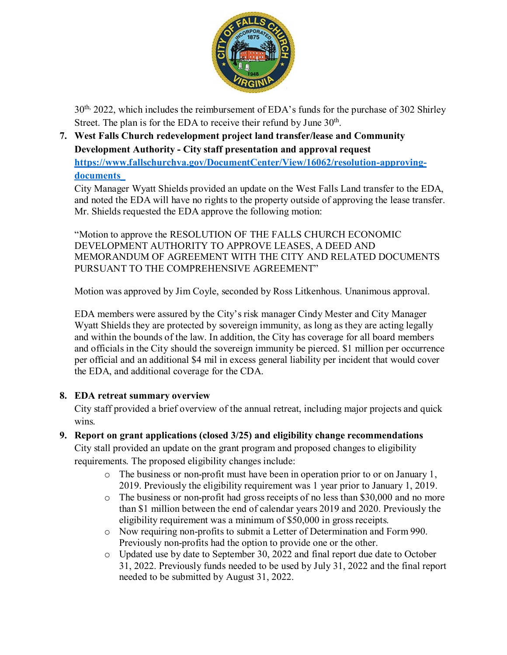

30th, 2022, which includes the reimbursement of EDA's funds for the purchase of 302 Shirley Street. The plan is for the EDA to receive their refund by June 30<sup>th</sup>.

### **7. West Falls Church redevelopment project land transfer/lease and Community Development Authority - City staff presentation and approval request [https://www.fallschurchva.gov/DocumentCenter/View/16062/resolution-approving](https://www.fallschurchva.gov/DocumentCenter/View/16062/resolution-approving-documents_)[documents\\_](https://www.fallschurchva.gov/DocumentCenter/View/16062/resolution-approving-documents_)**

City Manager Wyatt Shields provided an update on the West Falls Land transfer to the EDA, and noted the EDA will have no rights to the property outside of approving the lease transfer. Mr. Shields requested the EDA approve the following motion:

"Motion to approve the RESOLUTION OF THE FALLS CHURCH ECONOMIC DEVELOPMENT AUTHORITY TO APPROVE LEASES, A DEED AND MEMORANDUM OF AGREEMENT WITH THE CITY AND RELATED DOCUMENTS PURSUANT TO THE COMPREHENSIVE AGREEMENT"

Motion was approved by Jim Coyle, seconded by Ross Litkenhous. Unanimous approval.

EDA members were assured by the City's risk manager Cindy Mester and City Manager Wyatt Shields they are protected by sovereign immunity, as long as they are acting legally and within the bounds of the law. In addition, the City has coverage for all board members and officials in the City should the sovereign immunity be pierced. \$1 million per occurrence per official and an additional \$4 mil in excess general liability per incident that would cover the EDA, and additional coverage for the CDA.

### **8. EDA retreat summary overview**

City staff provided a brief overview of the annual retreat, including major projects and quick wins.

- **9. Report on grant applications (closed 3/25) and eligibility change recommendations**  City stall provided an update on the grant program and proposed changes to eligibility requirements. The proposed eligibility changes include:
	- o The business or non-profit must have been in operation prior to or on January 1, 2019. Previously the eligibility requirement was 1 year prior to January 1, 2019.
	- o The business or non-profit had gross receipts of no less than \$30,000 and no more than \$1 million between the end of calendar years 2019 and 2020. Previously the eligibility requirement was a minimum of \$50,000 in gross receipts.
	- o Now requiring non-profits to submit a Letter of Determination and Form 990. Previously non-profits had the option to provide one or the other.
	- o Updated use by date to September 30, 2022 and final report due date to October 31, 2022. Previously funds needed to be used by July 31, 2022 and the final report needed to be submitted by August 31, 2022.